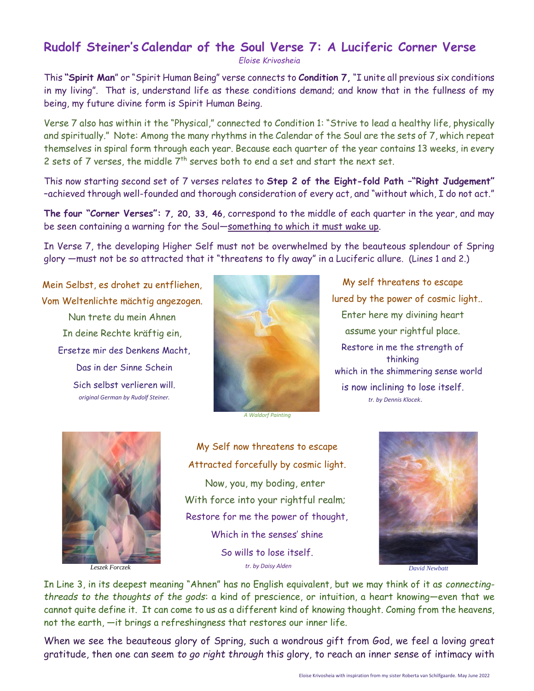## **Rudolf Steiner's Calendar of the Soul Verse 7: A Luciferic Corner Verse**

*Eloise Krivosheia*

This **"Spirit Man**" or "Spirit Human Being" verse connects to **Condition 7,** "I unite all previous six conditions in my living". That is, understand life as these conditions demand; and know that in the fullness of my being, my future divine form is Spirit Human Being.

Verse 7 also has within it the "Physical," connected to Condition 1: "Strive to lead a healthy life, physically and spiritually." Note: Among the many rhythms in the Calendar of the Soul are the sets of 7, which repeat themselves in spiral form through each year. Because each quarter of the year contains 13 weeks, in every 2 sets of 7 verses, the middle  $7<sup>th</sup>$  serves both to end a set and start the next set.

This now starting second set of 7 verses relates to **Step 2 of the Eight-fold Path –"Right Judgement"** –achieved through well-founded and thorough consideration of every act, and "without which, I do not act."

**The four "Corner Verses": 7, 20, 33, 46**, correspond to the middle of each quarter in the year, and may be seen containing a warning for the Soul—something to which it must wake up.

In Verse 7, the developing Higher Self must not be overwhelmed by the beauteous splendour of Spring glory —must not be so attracted that it "threatens to fly away" in a Luciferic allure. (Lines 1 and 2.) Ĩ

Mein Selbst, es drohet zu entfliehen, Vom Weltenlichte mächtig angezogen. Nun trete du mein Ahnen In deine Rechte kräftig ein, Ersetze mir des Denkens Macht, Das in der Sinne Schein Sich selbst verlieren will. *original German by Rudolf Steiner.*



My self threatens to escape lured by the power of cosmic light.. Enter here my divining heart assume your rightful place. Restore in me the strength of thinking which in the shimmering sense world is now inclining to lose itself. *tr. by Dennis Klocek*.

*A Waldorf Painting*



*Leszek Forczek*

My Self now threatens to escape Attracted forcefully by cosmic light. Now, you, my boding, enter With force into your rightful realm; Restore for me the power of thought, Which in the senses' shine So wills to lose itself.



In Line 3, in its deepest meaning "Ahnen" has no English equivalent, but we may think of it as *connectingthreads to the thoughts of the gods*: a kind of prescience, or intuition, a heart knowing—even that we cannot quite define it. It can come to us as a different kind of knowing thought. Coming from the heavens, not the earth, —it brings a refreshingness that restores our inner life.

When we see the beauteous glory of Spring, such a wondrous gift from God, we feel a loving great gratitude, then one can seem *to go right through* this glory, to reach an inner sense of intimacy with